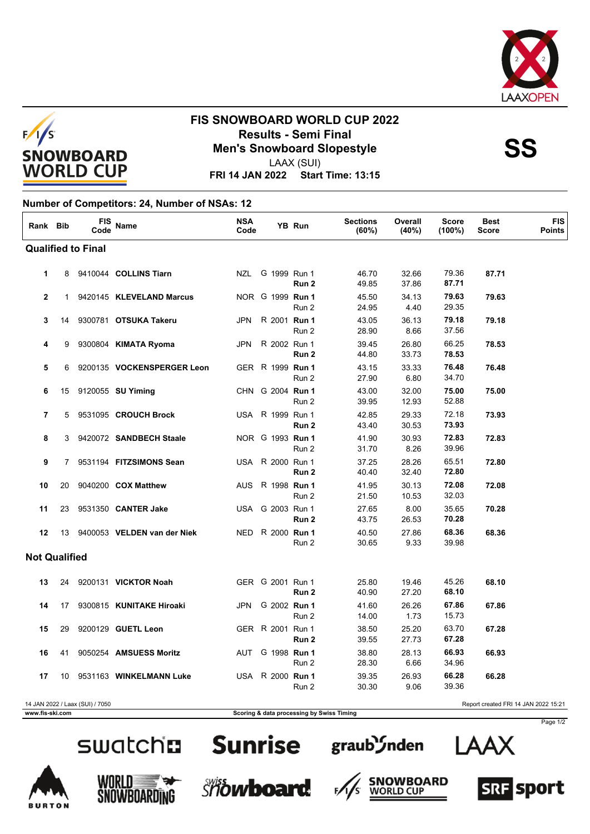



# **FIS SNOWBOARD WORLD CUP 2022 Results - Semi Final<br>Men's Snowboard Slopestyle**<br>
AAY (SUI)

LAAX (SUI)

**FRI 14 JAN 2022 Start Time: 13:15**

### **Number of Competitors: 24, Number of NSAs: 12**

| Rank Bib                  |              | FIS<br>Code                     | Name                         | <b>NSA</b><br>Code |                  | YB Run | <b>Sections</b><br>(60%) | Overall<br>(40%) | <b>Score</b><br>$(100\%)$ | <b>Best</b><br>Score                 | <b>FIS</b><br>Points |
|---------------------------|--------------|---------------------------------|------------------------------|--------------------|------------------|--------|--------------------------|------------------|---------------------------|--------------------------------------|----------------------|
| <b>Qualified to Final</b> |              |                                 |                              |                    |                  |        |                          |                  |                           |                                      |                      |
| 1                         |              |                                 | 8 9410044 COLLINS Tiarn      |                    | NZL G 1999 Run 1 | Run 2  | 46.70<br>49.85           | 32.66<br>37.86   | 79.36<br>87.71            | 87.71                                |                      |
| $\mathbf{2}$              | $\mathbf{1}$ |                                 | 9420145 KLEVELAND Marcus     |                    | NOR G 1999 Run 1 | Run 2  | 45.50<br>24.95           | 34.13<br>4.40    | 79.63<br>29.35            | 79.63                                |                      |
| 3                         | 14           |                                 | 9300781 OTSUKA Takeru        | <b>JPN</b>         | R 2001 Run 1     | Run 2  | 43.05<br>28.90           | 36.13<br>8.66    | 79.18<br>37.56            | 79.18                                |                      |
| 4                         | 9            |                                 | 9300804 KIMATA Ryoma         | <b>JPN</b>         | R 2002 Run 1     | Run 2  | 39.45<br>44.80           | 26.80<br>33.73   | 66.25<br>78.53            | 78.53                                |                      |
| 5                         |              |                                 | 6 9200135 VOCKENSPERGER Leon |                    | GER R 1999 Run 1 | Run 2  | 43.15<br>27.90           | 33.33<br>6.80    | 76.48<br>34.70            | 76.48                                |                      |
| 6                         | 15           |                                 | 9120055 SU Yiming            |                    | CHN G 2004 Run 1 | Run 2  | 43.00<br>39.95           | 32.00<br>12.93   | 75.00<br>52.88            | 75.00                                |                      |
| $\overline{7}$            | 5            |                                 | 9531095 CROUCH Brock         |                    | USA R 1999 Run 1 | Run 2  | 42.85<br>43.40           | 29.33<br>30.53   | 72.18<br>73.93            | 73.93                                |                      |
| 8                         | 3            |                                 | 9420072 SANDBECH Staale      |                    | NOR G 1993 Run 1 | Run 2  | 41.90<br>31.70           | 30.93<br>8.26    | 72.83<br>39.96            | 72.83                                |                      |
| 9                         | $7^{\circ}$  |                                 | 9531194 FITZSIMONS Sean      |                    | USA R 2000 Run 1 | Run 2  | 37.25<br>40.40           | 28.26<br>32.40   | 65.51<br>72.80            | 72.80                                |                      |
| 10                        | 20           |                                 | 9040200 COX Matthew          |                    | AUS R 1998 Run 1 | Run 2  | 41.95<br>21.50           | 30.13<br>10.53   | 72.08<br>32.03            | 72.08                                |                      |
| 11                        | 23           |                                 | 9531350 CANTER Jake          |                    | USA G 2003 Run 1 | Run 2  | 27.65<br>43.75           | 8.00<br>26.53    | 35.65<br>70.28            | 70.28                                |                      |
| 12                        | 13           |                                 | 9400053 VELDEN van der Niek  | NED.               | R 2000 Run 1     | Run 2  | 40.50<br>30.65           | 27.86<br>9.33    | 68.36<br>39.98            | 68.36                                |                      |
| <b>Not Qualified</b>      |              |                                 |                              |                    |                  |        |                          |                  |                           |                                      |                      |
| 13                        | 24           |                                 | 9200131 VICKTOR Noah         |                    | GER G 2001 Run 1 | Run 2  | 25.80<br>40.90           | 19.46<br>27.20   | 45.26<br>68.10            | 68.10                                |                      |
| 14                        | 17           |                                 | 9300815 KUNITAKE Hiroaki     | JPN                | G 2002 Run 1     | Run 2  | 41.60<br>14.00           | 26.26<br>1.73    | 67.86<br>15.73            | 67.86                                |                      |
| 15                        | 29           |                                 | 9200129 GUETL Leon           |                    | GER R 2001 Run 1 | Run 2  | 38.50<br>39.55           | 25.20<br>27.73   | 63.70<br>67.28            | 67.28                                |                      |
| 16                        | 41           |                                 | 9050254 AMSUESS Moritz       |                    | AUT G 1998 Run 1 | Run 2  | 38.80<br>28.30           | 28.13<br>6.66    | 66.93<br>34.96            | 66.93                                |                      |
| 17                        | 10           |                                 | 9531163 WINKELMANN Luke      |                    | USA R 2000 Run 1 | Run 2  | 39.35<br>30.30           | 26.93<br>9.06    | 66.28<br>39.36            | 66.28                                |                      |
|                           |              | 14 JAN 2022 / Laax (SUI) / 7050 |                              |                    |                  |        |                          |                  |                           | Report created FRI 14 JAN 2022 15:21 |                      |



### **www.fis-ski.com Scoring & data processing by Swiss Timing**

















Page 1/2